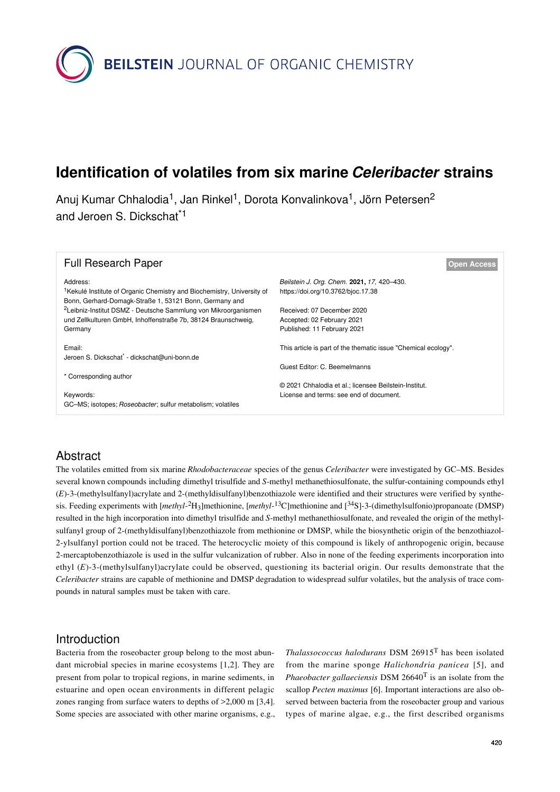

# **Identification of volatiles from six marine** *Celeribacter* **strains**

Anuj Kumar Chhalodia<sup>1</sup>, Jan Rinkel<sup>1</sup>, Dorota Konvalinkova<sup>1</sup>, Jörn Petersen<sup>2</sup> and Jeroen S. Dickschat<sup>\*1</sup>

| <b>Full Research Paper</b>                                                                                                                   | <b>Open Access</b>                                             |
|----------------------------------------------------------------------------------------------------------------------------------------------|----------------------------------------------------------------|
| Address:                                                                                                                                     | Beilstein J. Org. Chem. 2021, 17, 420-430.                     |
| <sup>1</sup> Kekulé Institute of Organic Chemistry and Biochemistry, University of<br>Bonn, Gerhard-Domagk-Straße 1, 53121 Bonn, Germany and | https://doi.org/10.3762/bjoc.17.38                             |
| <sup>2</sup> Leibniz-Institut DSMZ - Deutsche Sammlung von Mikroorganismen                                                                   | Received: 07 December 2020                                     |
| und Zellkulturen GmbH, Inhoffenstraße 7b, 38124 Braunschweig,                                                                                | Accepted: 02 February 2021                                     |
| Germany                                                                                                                                      | Published: 11 February 2021                                    |
| Email:                                                                                                                                       | This article is part of the thematic issue "Chemical ecology". |
| Jeroen S. Dickschat* - dickschat@uni-bonn.de                                                                                                 |                                                                |
|                                                                                                                                              | Guest Editor: C. Beemelmanns                                   |
| * Corresponding author                                                                                                                       |                                                                |
|                                                                                                                                              | © 2021 Chhalodia et al.; licensee Beilstein-Institut.          |
| Keywords:                                                                                                                                    | License and terms: see end of document.                        |
| GC-MS; isotopes; <i>Roseobacter</i> ; sulfur metabolism; volatiles                                                                           |                                                                |

# Abstract

The volatiles emitted from six marine *Rhodobacteraceae* species of the genus *Celeribacter* were investigated by GC–MS. Besides several known compounds including dimethyl trisulfide and *S*-methyl methanethiosulfonate, the sulfur-containing compounds ethyl (*E*)-3-(methylsulfanyl)acrylate and 2-(methyldisulfanyl)benzothiazole were identified and their structures were verified by synthesis. Feeding experiments with [*methyl*-<sup>2</sup>H3]methionine, [*methyl*-<sup>13</sup>C]methionine and [34S]-3-(dimethylsulfonio)propanoate (DMSP) resulted in the high incorporation into dimethyl trisulfide and *S*-methyl methanethiosulfonate, and revealed the origin of the methylsulfanyl group of 2-(methyldisulfanyl)benzothiazole from methionine or DMSP, while the biosynthetic origin of the benzothiazol-2-ylsulfanyl portion could not be traced. The heterocyclic moiety of this compound is likely of anthropogenic origin, because 2-mercaptobenzothiazole is used in the sulfur vulcanization of rubber. Also in none of the feeding experiments incorporation into ethyl (*E*)-3-(methylsulfanyl)acrylate could be observed, questioning its bacterial origin. Our results demonstrate that the *Celeribacter* strains are capable of methionine and DMSP degradation to widespread sulfur volatiles, but the analysis of trace compounds in natural samples must be taken with care.

# Introduction

Bacteria from the roseobacter group belong to the most abundant microbial species in marine ecosystems [\[1,2\]](#page-8-0). They are present from polar to tropical regions, in marine sediments, in estuarine and open ocean environments in different pelagic zones ranging from surface waters to depths of >2,000 m [\[3,4\]](#page-8-1). Some species are associated with other marine organisms, e.g., *Thalassococcus halodurans* DSM 26915T has been isolated from the marine sponge *Halichondria panicea* [\[5\]](#page-8-2), and *Phaeobacter gallaeciensis* DSM 26640T is an isolate from the scallop *Pecten maximus* [\[6\]](#page-8-3). Important interactions are also observed between bacteria from the roseobacter group and various types of marine algae, e.g., the first described organisms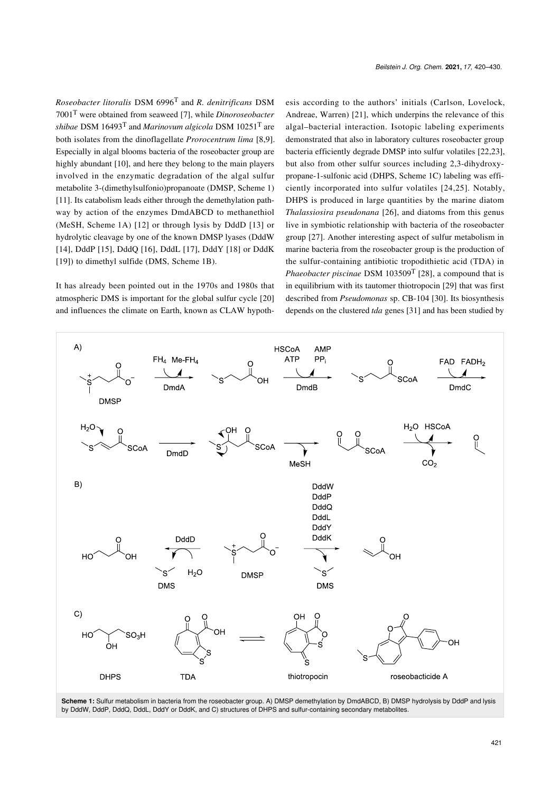*Roseobacter litoralis* DSM 6996T and *R. denitrificans* DSM 7001T were obtained from seaweed [\[7\]](#page-8-4), while *Dinoroseobacter shibae* DSM 16493T and *Marinovum algicola* DSM 10251T are both isolates from the dinoflagellate *Prorocentrum lima* [\[8,9\]](#page-8-5). Especially in algal blooms bacteria of the roseobacter group are highly abundant [\[10\],](#page-8-6) and here they belong to the main players involved in the enzymatic degradation of the algal sulfur metabolite 3-(dimethylsulfonio)propanoate (DMSP, [Scheme 1](#page-1-0)) [\[11\].](#page-9-0) Its catabolism leads either through the demethylation pathway by action of the enzymes DmdABCD to methanethiol (MeSH, [Scheme 1A](#page-1-0)) [\[12\]](#page-9-1) or through lysis by DddD [\[13\]](#page-9-2) or hydrolytic cleavage by one of the known DMSP lyases (DddW [\[14\]](#page-9-3), DddP [\[15\]](#page-9-4), DddQ [\[16\]](#page-9-5), DddL [\[17\]](#page-9-6), DddY [\[18\]](#page-9-7) or DddK [\[19\]](#page-9-8)) to dimethyl sulfide (DMS, [Scheme 1B](#page-1-0)).

It has already been pointed out in the 1970s and 1980s that atmospheric DMS is important for the global sulfur cycle [\[20\]](#page-9-9) and influences the climate on Earth, known as CLAW hypoth-

esis according to the authors' initials (Carlson, Lovelock, Andreae, Warren) [\[21\]](#page-9-10), which underpins the relevance of this algal–bacterial interaction. Isotopic labeling experiments demonstrated that also in laboratory cultures roseobacter group bacteria efficiently degrade DMSP into sulfur volatiles [\[22,23\]](#page-9-11), but also from other sulfur sources including 2,3-dihydroxypropane-1-sulfonic acid (DHPS, [Scheme 1C\)](#page-1-0) labeling was efficiently incorporated into sulfur volatiles [\[24,25\].](#page-9-12) Notably, DHPS is produced in large quantities by the marine diatom *Thalassiosira pseudonana* [\[26\],](#page-9-13) and diatoms from this genus live in symbiotic relationship with bacteria of the roseobacter group [\[27\]](#page-9-14). Another interesting aspect of sulfur metabolism in marine bacteria from the roseobacter group is the production of the sulfur-containing antibiotic tropodithietic acid (TDA) in *Phaeobacter piscinae* DSM 103509<sup>T</sup> [\[28\]](#page-9-15), a compound that is in equilibrium with its tautomer thiotropocin [\[29\]](#page-9-16) that was first described from *Pseudomonas* sp. CB-104 [\[30\].](#page-9-17) Its biosynthesis depends on the clustered *tda* genes [\[31\]](#page-9-18) and has been studied by

<span id="page-1-0"></span>

**Scheme 1:** Sulfur metabolism in bacteria from the roseobacter group. A) DMSP demethylation by DmdABCD, B) DMSP hydrolysis by DddP and lysis by DddW, DddP, DddQ, DddL, DddY or DddK, and C) structures of DHPS and sulfur-containing secondary metabolites.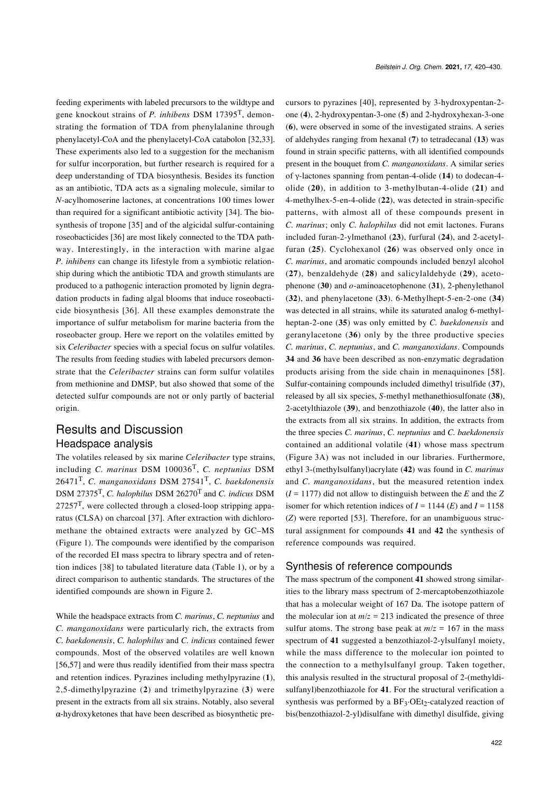feeding experiments with labeled precursors to the wildtype and gene knockout strains of *P. inhibens* DSM 17395T, demonstrating the formation of TDA from phenylalanine through phenylacetyl-CoA and the phenylacetyl-CoA catabolon [\[32,33\]](#page-9-19). These experiments also led to a suggestion for the mechanism for sulfur incorporation, but further research is required for a deep understanding of TDA biosynthesis. Besides its function as an antibiotic, TDA acts as a signaling molecule, similar to *N*-acylhomoserine lactones, at concentrations 100 times lower than required for a significant antibiotic activity [\[34\]](#page-9-20). The biosynthesis of tropone [\[35\]](#page-9-21) and of the algicidal sulfur-containing roseobacticides [\[36\]](#page-9-22) are most likely connected to the TDA pathway. Interestingly, in the interaction with marine algae *P. inhibens* can change its lifestyle from a symbiotic relationship during which the antibiotic TDA and growth stimulants are produced to a pathogenic interaction promoted by lignin degradation products in fading algal blooms that induce roseobacticide biosynthesis [\[36\].](#page-9-22) All these examples demonstrate the importance of sulfur metabolism for marine bacteria from the roseobacter group. Here we report on the volatiles emitted by six *Celeribacter* species with a special focus on sulfur volatiles. The results from feeding studies with labeled precursors demonstrate that the *Celeribacter* strains can form sulfur volatiles from methionine and DMSP, but also showed that some of the detected sulfur compounds are not or only partly of bacterial origin.

# Results and Discussion Headspace analysis

The volatiles released by six marine *Celeribacter* type strains, including *C. marinus* DSM 100036T, *C. neptunius* DSM 26471T, *C. manganoxidans* DSM 27541T, *C. baekdonensis* DSM 27375T, *C. halophilus* DSM 26270T and *C. indicus* DSM 27257T, were collected through a closed-loop stripping apparatus (CLSA) on charcoal [\[37\].](#page-9-23) After extraction with dichloromethane the obtained extracts were analyzed by GC–MS ([Figure 1\)](#page-3-0). The compounds were identified by the comparison of the recorded EI mass spectra to library spectra and of retention indices [\[38\]](#page-9-24) to tabulated literature data ([Table 1\)](#page-4-0), or by a direct comparison to authentic standards. The structures of the identified compounds are shown in [Figure 2.](#page-5-0)

While the headspace extracts from *C. marinus*, *C. neptunius* and *C. manganoxidans* were particularly rich, the extracts from *C. baekdonensis*, *C. halophilus* and *C. indicus* contained fewer compounds. Most of the observed volatiles are well known [\[56,57\]](#page-9-25) and were thus readily identified from their mass spectra and retention indices. Pyrazines including methylpyrazine (**1**), 2,5-dimethylpyrazine (**2**) and trimethylpyrazine (**3**) were present in the extracts from all six strains. Notably, also several α-hydroxyketones that have been described as biosynthetic precursors to pyrazines [\[40\],](#page-9-26) represented by 3-hydroxypentan-2 one (**4**), 2-hydroxypentan-3-one (**5**) and 2-hydroxyhexan-3-one (**6**), were observed in some of the investigated strains. A series of aldehydes ranging from hexanal (**7**) to tetradecanal (**13**) was found in strain specific patterns, with all identified compounds present in the bouquet from *C. manganoxidans*. A similar series of γ-lactones spanning from pentan-4-olide (**14**) to dodecan-4 olide (**20**), in addition to 3-methylbutan-4-olide (**21**) and 4-methylhex-5-en-4-olide (**22**), was detected in strain-specific patterns, with almost all of these compounds present in *C. marinus*; only *C. halophilus* did not emit lactones. Furans included furan-2-ylmethanol (**23**), furfural (**24**), and 2-acetylfuran (**25**). Cyclohexanol (**26**) was observed only once in *C. marinus*, and aromatic compounds included benzyl alcohol (**27**), benzaldehyde (**28**) and salicylaldehyde (**29**), acetophenone (**30**) and *o*-aminoacetophenone (**31**), 2-phenylethanol (**32**), and phenylacetone (**33**). 6-Methylhept-5-en-2-one (**34**) was detected in all strains, while its saturated analog 6-methylheptan-2-one (**35**) was only emitted by *C. baekdonensis* and geranylacetone (**36**) only by the three productive species *C. marinus*, *C. neptunius*, and *C. manganoxidans*. Compounds **34** and **36** have been described as non-enzymatic degradation products arising from the side chain in menaquinones [\[58\]](#page-10-0). Sulfur-containing compounds included dimethyl trisulfide (**37**), released by all six species, *S*-methyl methanethiosulfonate (**38**), 2-acetylthiazole (**39**), and benzothiazole (**40**), the latter also in the extracts from all six strains. In addition, the extracts from the three species *C. marinus*, *C. neptunius* and *C. baekdonensis* contained an additional volatile (**41**) whose mass spectrum ([Figure 3A\)](#page-5-1) was not included in our libraries. Furthermore, ethyl 3-(methylsulfanyl)acrylate (**42**) was found in *C. marinus* and *C. manganoxidans*, but the measured retention index  $(I = 1177)$  did not allow to distinguish between the *E* and the *Z* isomer for which retention indices of  $I = 1144$  (*E*) and  $I = 1158$ (*Z*) were reported [\[53\]](#page-9-27). Therefore, for an unambiguous structural assignment for compounds **41** and **42** the synthesis of reference compounds was required.

#### Synthesis of reference compounds

The mass spectrum of the component **41** showed strong similarities to the library mass spectrum of 2-mercaptobenzothiazole that has a molecular weight of 167 Da. The isotope pattern of the molecular ion at  $m/z = 213$  indicated the presence of three sulfur atoms. The strong base peak at  $m/z = 167$  in the mass spectrum of **41** suggested a benzothiazol-2-ylsulfanyl moiety, while the mass difference to the molecular ion pointed to the connection to a methylsulfanyl group. Taken together, this analysis resulted in the structural proposal of 2-(methyldisulfanyl)benzothiazole for **41**. For the structural verification a synthesis was performed by a  $BF_3$ ·OEt<sub>2</sub>-catalyzed reaction of bis(benzothiazol-2-yl)disulfane with dimethyl disulfide, giving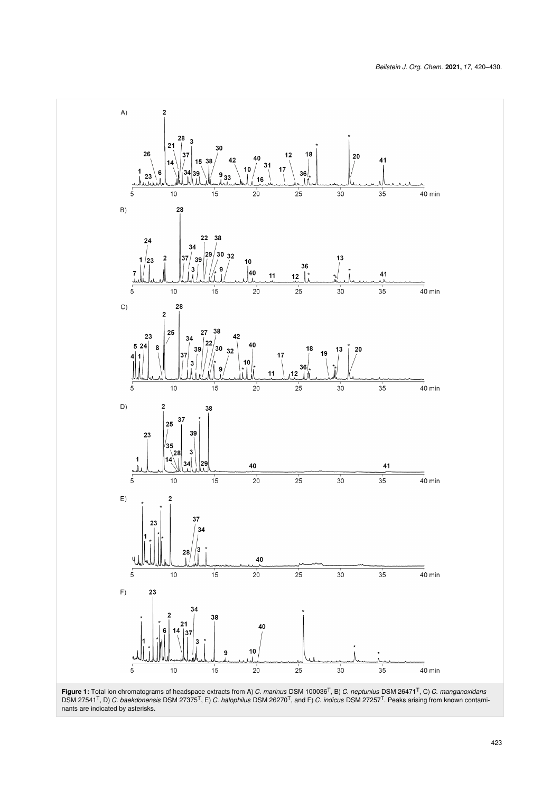<span id="page-3-0"></span>

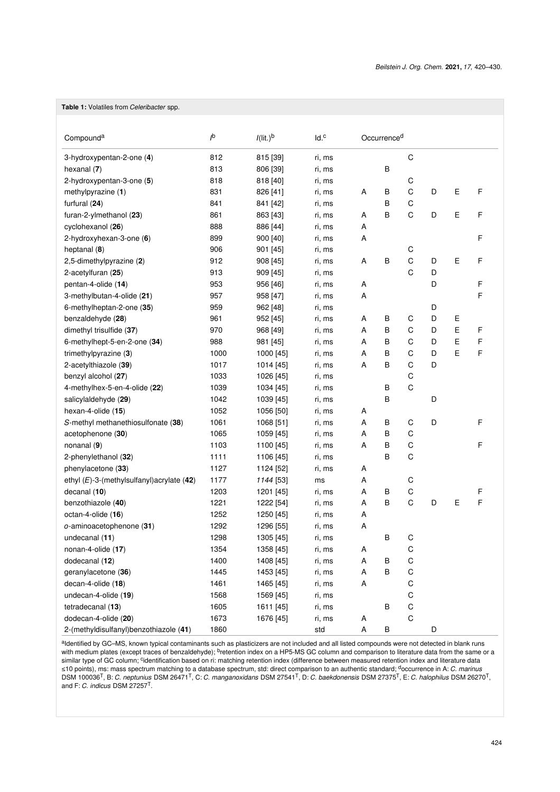#### <span id="page-4-0"></span>**Table 1:** Volatiles from *Celeribacter* spp.

| Compound <sup>a</sup>                         | $\mathsf{I}^{\mathsf{b}}$ | $I(lit.)^b$ | Id. <sup>c</sup> |   | Occurrence <sup>d</sup> |             |   |   |   |  |  |
|-----------------------------------------------|---------------------------|-------------|------------------|---|-------------------------|-------------|---|---|---|--|--|
| 3-hydroxypentan-2-one (4)                     | 812                       | 815 [39]    | ri, ms           |   |                         | C           |   |   |   |  |  |
| hexanal $(7)$                                 | 813                       | 806 [39]    | ri, ms           |   | B                       |             |   |   |   |  |  |
| 2-hydroxypentan-3-one (5)                     | 818                       | 818 [40]    | ri, ms           |   |                         | C           |   |   |   |  |  |
| methylpyrazine (1)                            | 831                       | 826 [41]    | ri, ms           | Α | В                       | C           | D | E | F |  |  |
| furfural (24)                                 | 841                       | 841 [42]    | ri, ms           |   | В                       | C           |   |   |   |  |  |
| furan-2-ylmethanol (23)                       | 861                       | 863 [43]    | ri, ms           | Α | B                       | C           | D | E | F |  |  |
| cyclohexanol (26)                             | 888                       | 886 [44]    | ri, ms           | Α |                         |             |   |   |   |  |  |
| 2-hydroxyhexan-3-one (6)                      | 899                       | 900 [40]    | ri, ms           | Α |                         |             |   |   | F |  |  |
| heptanal (8)                                  | 906                       | 901 [45]    | ri, ms           |   |                         | С           |   |   |   |  |  |
| 2,5-dimethylpyrazine (2)                      | 912                       | 908 [45]    | ri, ms           | Α | B                       | C           | D | E | F |  |  |
| 2-acetylfuran (25)                            | 913                       | 909 [45]    | ri, ms           |   |                         | C           | D |   |   |  |  |
| pentan-4-olide (14)                           | 953                       | 956 [46]    | ri, ms           | Α |                         |             | D |   | F |  |  |
| 3-methylbutan-4-olide (21)                    | 957                       | 958 [47]    | ri, ms           | Α |                         |             |   |   | F |  |  |
| 6-methylheptan-2-one (35)                     | 959                       | 962 [48]    | ri, ms           |   |                         |             | D |   |   |  |  |
| benzaldehyde (28)                             | 961                       | 952 [45]    | ri, ms           | Α | В                       | C           | D | Ε |   |  |  |
| dimethyl trisulfide (37)                      | 970                       | 968 [49]    | ri, ms           | Α | B                       | C           | D | E | F |  |  |
| 6-methylhept-5-en-2-one (34)                  | 988                       | 981 [45]    | ri, ms           | Α | B                       | C           | D | E | F |  |  |
| trimethylpyrazine (3)                         | 1000                      | 1000 [45]   | ri, ms           | Α | B                       | C           | D | E | F |  |  |
| 2-acetylthiazole (39)                         | 1017                      | 1014 [45]   | ri, ms           | A | B                       | C           | D |   |   |  |  |
| benzyl alcohol (27)                           | 1033                      | 1026 [45]   | ri, ms           |   |                         | C           |   |   |   |  |  |
| 4-methylhex-5-en-4-olide (22)                 | 1039                      | 1034 [45]   | ri, ms           |   | В                       | C           |   |   |   |  |  |
| salicylaldehyde (29)                          | 1042                      | 1039 [45]   | ri, ms           |   | B                       |             | D |   |   |  |  |
| hexan-4-olide (15)                            | 1052                      | 1056 [50]   | ri, ms           | Α |                         |             |   |   |   |  |  |
| S-methyl methanethiosulfonate (38)            | 1061                      | 1068 [51]   | ri, ms           | Α | В                       | С           | D |   | F |  |  |
| acetophenone (30)                             | 1065                      | 1059 [45]   | ri, ms           | Α | В                       | C           |   |   |   |  |  |
| nonanal $(9)$                                 | 1103                      | 1100 [45]   | ri, ms           | Α | В                       | C           |   |   | F |  |  |
| 2-phenylethanol (32)                          | 1111                      | 1106 [45]   | ri, ms           |   | B                       | C           |   |   |   |  |  |
| phenylacetone (33)                            | 1127                      | 1124 [52]   | ri, ms           | A |                         |             |   |   |   |  |  |
| ethyl $(E)$ -3-(methylsulfanyl) acrylate (42) | 1177                      | 1144 [53]   | ms               | Α |                         | C           |   |   |   |  |  |
| decanal $(10)$                                | 1203                      | 1201 [45]   | ri, ms           | Α | В                       | C           |   |   | F |  |  |
| benzothiazole (40)                            | 1221                      | 1222 [54]   | ri, ms           | Α | В                       | C           | D | Ε | F |  |  |
| octan-4-olide (16)                            | 1252                      | 1250 [45]   | ri, ms           | Α |                         |             |   |   |   |  |  |
| o-aminoacetophenone (31)                      | 1292                      | 1296 [55]   | ri, ms           | Α |                         |             |   |   |   |  |  |
| undecanal (11)                                | 1298                      | 1305 [45]   | ri, ms           |   | B                       | С           |   |   |   |  |  |
| nonan-4-olide (17)                            | 1354                      | 1358 [45]   | ri, ms           | Α |                         | C           |   |   |   |  |  |
| dodecanal (12)                                | 1400                      | 1408 [45]   | ri, ms           | A | B                       | C           |   |   |   |  |  |
| geranylacetone (36)                           | 1445                      | 1453 [45]   | ri, ms           | A | B                       | C           |   |   |   |  |  |
| decan-4-olide (18)                            | 1461                      | 1465 [45]   | ri, ms           | Α |                         | C           |   |   |   |  |  |
| undecan-4-olide (19)                          | 1568                      | 1569 [45]   | ri, ms           |   |                         | С           |   |   |   |  |  |
| tetradecanal (13)                             | 1605                      | 1611 [45]   | ri, ms           |   | B                       | С           |   |   |   |  |  |
| dodecan-4-olide (20)                          | 1673                      | 1676 [45]   | ri, ms           | A |                         | $\mathsf C$ |   |   |   |  |  |
| 2-(methyldisulfanyl)benzothiazole (41)        | 1860                      |             | std              | Α | B                       |             | D |   |   |  |  |

aldentified by GC–MS, known typical contaminants such as plasticizers are not included and all listed compounds were not detected in blank runs with medium plates (except traces of benzaldehyde); <sup>b</sup>retention index on a HP5-MS GC column and comparison to literature data from the same or a similar type of GC column; <sup>c</sup>identification based on ri: matching retention index (difference between measured retention index and literature data<br>≤10 points), ms: mass spectrum matching to a database spectrum, std: dire DSM 100036T, B: *C. neptunius* DSM 26471T, C: *C. manganoxidans* DSM 27541T, D: *C. baekdonensis* DSM 27375T, E: *C. halophilus* DSM 26270T, and F: *C. indicus* DSM 27257T.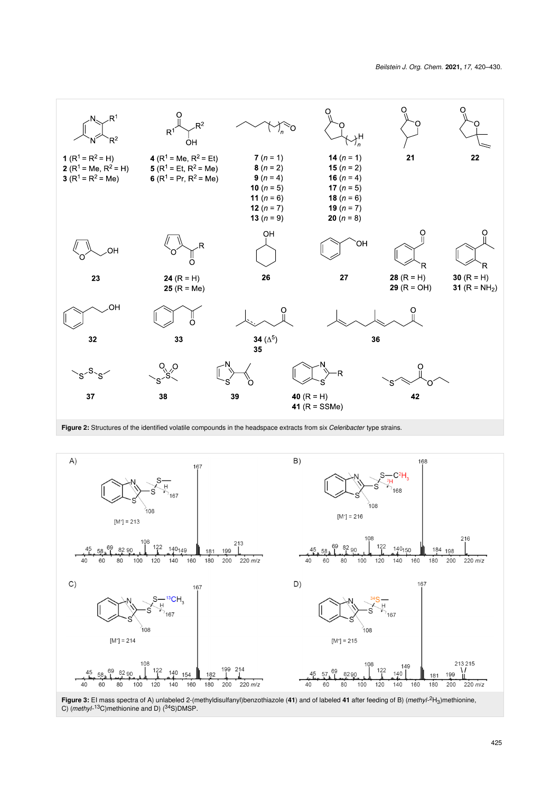<span id="page-5-0"></span>

<span id="page-5-1"></span>

C) (*methyl*-<sup>13</sup>C)methionine and D) (<sup>34</sup>S)DMSP.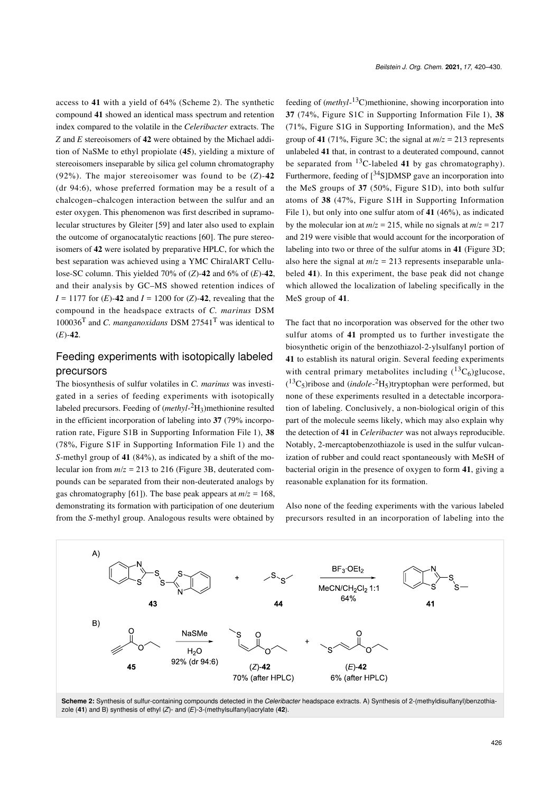access to **41** with a yield of 64% ([Scheme 2](#page-6-0)). The synthetic compound **41** showed an identical mass spectrum and retention index compared to the volatile in the *Celeribacter* extracts. The *Z* and *E* stereoisomers of **42** were obtained by the Michael addition of NaSMe to ethyl propiolate (**45**), yielding a mixture of stereoisomers inseparable by silica gel column chromatography (92%). The major stereoisomer was found to be (*Z*)-**42** (dr 94:6), whose preferred formation may be a result of a chalcogen–chalcogen interaction between the sulfur and an ester oxygen. This phenomenon was first described in supramolecular structures by Gleiter [\[59\]](#page-10-1) and later also used to explain the outcome of organocatalytic reactions [\[60\]](#page-10-2). The pure stereoisomers of **42** were isolated by preparative HPLC, for which the best separation was achieved using a YMC ChiralART Cellulose-SC column. This yielded 70% of (*Z*)-**42** and 6% of (*E*)-**42**, and their analysis by GC–MS showed retention indices of  $I = 1177$  for  $(E)$ -42 and  $I = 1200$  for  $(Z)$ -42, revealing that the compound in the headspace extracts of *C. marinus* DSM 100036T and *C. manganoxidans* DSM 27541T was identical to (*E*)-**42**.

## Feeding experiments with isotopically labeled precursors

The biosynthesis of sulfur volatiles in *C. marinus* was investigated in a series of feeding experiments with isotopically labeled precursors. Feeding of (*methyl*-<sup>2</sup>H3)methionine resulted in the efficient incorporation of labeling into **37** (79% incorporation rate, Figure S1B in [Supporting Information File 1\)](#page-8-7), **38** (78%, Figure S1F in [Supporting Information File 1](#page-8-7)) and the *S*-methyl group of **41** (84%), as indicated by a shift of the molecular ion from *m*/*z* = 213 to 216 ([Figure 3B](#page-5-1), deuterated compounds can be separated from their non-deuterated analogs by gas chromatography [\[61\]\)](#page-10-3). The base peak appears at  $m/z = 168$ , demonstrating its formation with participation of one deuterium from the *S*-methyl group. Analogous results were obtained by

feeding of (*methyl*-<sup>13</sup>C)methionine, showing incorporation into **37** (74%, Figure S1C in [Supporting Information File 1](#page-8-7)), **38** (71%, Figure S1G in Supporting Information), and the MeS group of 41 (71%, [Figure 3C](#page-5-1); the signal at  $m/z = 213$  represents unlabeled **41** that, in contrast to a deuterated compound, cannot be separated from 13C-labeled **41** by gas chromatography). Furthermore, feeding of  $\lceil \frac{34}{5} \rceil$ DMSP gave an incorporation into the MeS groups of **37** (50%, Figure S1D), into both sulfur atoms of **38** (47%, Figure S1H in [Supporting Information](#page-8-7) [File 1\)](#page-8-7), but only into one sulfur atom of **41** (46%), as indicated by the molecular ion at  $m/z = 215$ , while no signals at  $m/z = 217$ and 219 were visible that would account for the incorporation of labeling into two or three of the sulfur atoms in **41** ([Figure 3D](#page-5-1); also here the signal at  $m/z = 213$  represents inseparable unlabeled **41**). In this experiment, the base peak did not change which allowed the localization of labeling specifically in the MeS group of **41**.

The fact that no incorporation was observed for the other two sulfur atoms of **41** prompted us to further investigate the biosynthetic origin of the benzothiazol-2-ylsulfanyl portion of **41** to establish its natural origin. Several feeding experiments with central primary metabolites including  $(^{13}C_6)$ glucose, ( <sup>13</sup>C5)ribose and (*indole*-<sup>2</sup>H5)tryptophan were performed, but none of these experiments resulted in a detectable incorporation of labeling. Conclusively, a non-biological origin of this part of the molecule seems likely, which may also explain why the detection of **41** in *Celeribacter* was not always reproducible. Notably, 2-mercaptobenzothiazole is used in the sulfur vulcanization of rubber and could react spontaneously with MeSH of bacterial origin in the presence of oxygen to form **41**, giving a reasonable explanation for its formation.

Also none of the feeding experiments with the various labeled precursors resulted in an incorporation of labeling into the

<span id="page-6-0"></span>

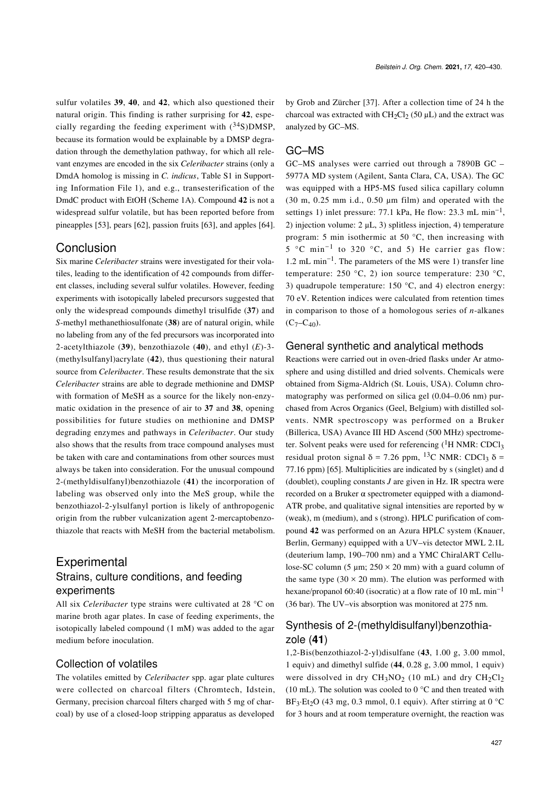sulfur volatiles **39**, **40**, and **42**, which also questioned their natural origin. This finding is rather surprising for **42**, especially regarding the feeding experiment with  $(^{34}S)$ DMSP, because its formation would be explainable by a DMSP degradation through the demethylation pathway, for which all relevant enzymes are encoded in the six *Celeribacter* strains (only a DmdA homolog is missing in *C. indicus*, Table S1 in [Support](#page-8-7)[ing Information File 1](#page-8-7)), and e.g., transesterification of the DmdC product with EtOH [\(Scheme 1A](#page-1-0)). Compound **42** is not a widespread sulfur volatile, but has been reported before from pineapples [\[53\]](#page-9-27), pears [\[62\],](#page-10-4) passion fruits [\[63\],](#page-10-5) and apples [\[64\]](#page-10-6).

### Conclusion

Six marine *Celeribacter* strains were investigated for their volatiles, leading to the identification of 42 compounds from different classes, including several sulfur volatiles. However, feeding experiments with isotopically labeled precursors suggested that only the widespread compounds dimethyl trisulfide (**37**) and *S*-methyl methanethiosulfonate (**38**) are of natural origin, while no labeling from any of the fed precursors was incorporated into 2-acetylthiazole (**39**), benzothiazole (**40**), and ethyl (*E*)-3- (methylsulfanyl)acrylate (**42**), thus questioning their natural source from *Celeribacter*. These results demonstrate that the six *Celeribacter* strains are able to degrade methionine and DMSP with formation of MeSH as a source for the likely non-enzymatic oxidation in the presence of air to **37** and **38**, opening possibilities for future studies on methionine and DMSP degrading enzymes and pathways in *Celeribacter*. Our study also shows that the results from trace compound analyses must be taken with care and contaminations from other sources must always be taken into consideration. For the unusual compound 2-(methyldisulfanyl)benzothiazole (**41**) the incorporation of labeling was observed only into the MeS group, while the benzothiazol-2-ylsulfanyl portion is likely of anthropogenic origin from the rubber vulcanization agent 2-mercaptobenzothiazole that reacts with MeSH from the bacterial metabolism.

# **Experimental** Strains, culture conditions, and feeding experiments

All six *Celeribacter* type strains were cultivated at 28 °C on marine broth agar plates. In case of feeding experiments, the isotopically labeled compound (1 mM) was added to the agar medium before inoculation.

#### Collection of volatiles

The volatiles emitted by *Celeribacter* spp. agar plate cultures were collected on charcoal filters (Chromtech, Idstein, Germany, precision charcoal filters charged with 5 mg of charcoal) by use of a closed-loop stripping apparatus as developed

by Grob and Zürcher [\[37\]](#page-9-23). After a collection time of 24 h the charcoal was extracted with  $CH_2Cl_2$  (50 µL) and the extract was analyzed by GC–MS.

#### GC–MS

GC–MS analyses were carried out through a 7890B GC – 5977A MD system (Agilent, Santa Clara, CA, USA). The GC was equipped with a HP5-MS fused silica capillary column (30 m, 0.25 mm i.d., 0.50 μm film) and operated with the settings 1) inlet pressure: 77.1 kPa, He flow: 23.3 mL min<sup>-1</sup>, 2) injection volume: 2 μL, 3) splitless injection, 4) temperature program: 5 min isothermic at 50 °C, then increasing with 5 °C min<sup>-1</sup> to 320 °C, and 5) He carrier gas flow: 1.2 mL min−<sup>1</sup> . The parameters of the MS were 1) transfer line temperature: 250 °C, 2) ion source temperature: 230 °C, 3) quadrupole temperature: 150  $^{\circ}$ C, and 4) electron energy: 70 eV. Retention indices were calculated from retention times in comparison to those of a homologous series of *n*-alkanes  $(C_7-C_{40})$ .

#### General synthetic and analytical methods

Reactions were carried out in oven-dried flasks under Ar atmosphere and using distilled and dried solvents. Chemicals were obtained from Sigma-Aldrich (St. Louis, USA). Column chromatography was performed on silica gel (0.04–0.06 nm) purchased from Acros Organics (Geel, Belgium) with distilled solvents. NMR spectroscopy was performed on a Bruker (Billerica, USA) Avance III HD Ascend (500 MHz) spectrometer. Solvent peaks were used for referencing  $({}^{1}H$  NMR: CDCl<sub>3</sub> residual proton signal δ = 7.26 ppm, <sup>13</sup>C NMR: CDCl<sub>3</sub> δ = 77.16 ppm) [\[65\]](#page-10-7). Multiplicities are indicated by s (singlet) and d (doublet), coupling constants *J* are given in Hz. IR spectra were recorded on a Bruker α spectrometer equipped with a diamond-ATR probe, and qualitative signal intensities are reported by w (weak), m (medium), and s (strong). HPLC purification of compound **42** was performed on an Azura HPLC system (Knauer, Berlin, Germany) equipped with a UV–vis detector MWL 2.1L (deuterium lamp, 190–700 nm) and a YMC ChiralART Cellulose-SC column (5  $\mu$ m; 250 × 20 mm) with a guard column of the same type  $(30 \times 20 \text{ mm})$ . The elution was performed with hexane/propanol 60:40 (isocratic) at a flow rate of 10 mL min<sup>-1</sup> (36 bar). The UV–vis absorption was monitored at 275 nm.

## Synthesis of 2-(methyldisulfanyl)benzothiazole (**41**)

1,2-Bis(benzothiazol-2-yl)disulfane (**43**, 1.00 g, 3.00 mmol, 1 equiv) and dimethyl sulfide (**44**, 0.28 g, 3.00 mmol, 1 equiv) were dissolved in dry  $CH_3NO_2$  (10 mL) and dry  $CH_2Cl_2$ (10 mL). The solution was cooled to  $0^{\circ}$ C and then treated with  $BF_3 \text{·Et}_2O$  (43 mg, 0.3 mmol, 0.1 equiv). After stirring at 0  $^{\circ}$ C for 3 hours and at room temperature overnight, the reaction was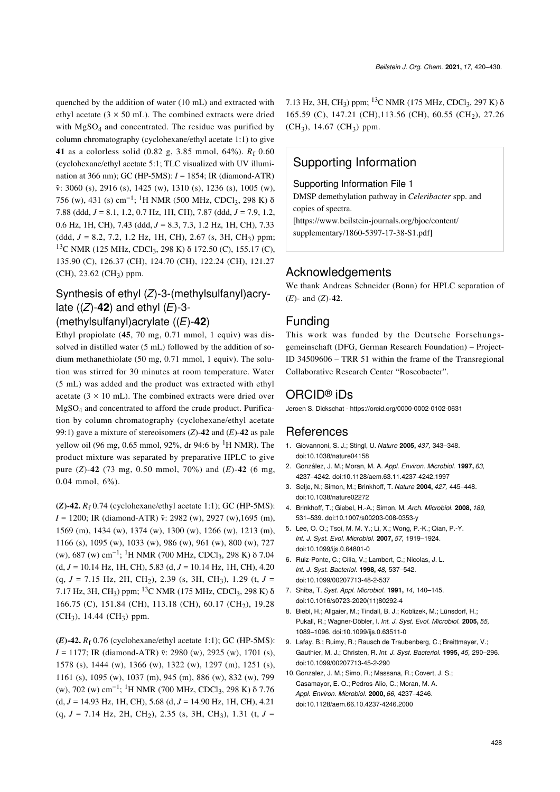quenched by the addition of water (10 mL) and extracted with ethyl acetate ( $3 \times 50$  mL). The combined extracts were dried with MgSO<sub>4</sub> and concentrated. The residue was purified by column chromatography (cyclohexane/ethyl acetate 1:1) to give **41** as a colorless solid (0.82 g, 3.85 mmol, 64%). *R*<sup>f</sup> 0.60 (cyclohexane/ethyl acetate 5:1; TLC visualized with UV illumination at 366 nm); GC (HP-5MS): *I* = 1854; IR (diamond-ATR) ν̃: 3060 (s), 2916 (s), 1425 (w), 1310 (s), 1236 (s), 1005 (w), 756 (w), 431 (s) cm−<sup>1</sup> ; 1H NMR (500 MHz, CDCl3, 298 K) δ 7.88 (ddd, *J* = 8.1, 1.2, 0.7 Hz, 1H, CH), 7.87 (ddd, *J* = 7.9, 1.2, 0.6 Hz, 1H, CH), 7.43 (ddd, *J* = 8.3, 7.3, 1.2 Hz, 1H, CH), 7.33 (ddd, *J* = 8.2, 7.2, 1.2 Hz, 1H, CH), 2.67 (s, 3H, CH3) ppm; <sup>13</sup>C NMR (125 MHz, CDCl<sub>3</sub>, 298 K) δ 172.50 (C), 155.17 (C), 135.90 (C), 126.37 (CH), 124.70 (CH), 122.24 (CH), 121.27 (CH), 23.62 (CH3) ppm.

# Synthesis of ethyl (*Z*)-3-(methylsulfanyl)acrylate ((*Z*)-**42**) and ethyl (*E*)-3-

## (methylsulfanyl)acrylate ((*E*)-**42**)

Ethyl propiolate (**45**, 70 mg, 0.71 mmol, 1 equiv) was dissolved in distilled water (5 mL) followed by the addition of sodium methanethiolate (50 mg, 0.71 mmol, 1 equiv). The solution was stirred for 30 minutes at room temperature. Water (5 mL) was added and the product was extracted with ethyl acetate ( $3 \times 10$  mL). The combined extracts were dried over MgSO4 and concentrated to afford the crude product. Purification by column chromatography (cyclohexane/ethyl acetate 99:1) gave a mixture of stereoisomers (*Z*)-**42** and (*E*)-**42** as pale yellow oil (96 mg, 0.65 mmol, 92%, dr 94:6 by  $^{1}$ H NMR). The product mixture was separated by preparative HPLC to give pure (*Z*)-**42** (73 mg, 0.50 mmol, 70%) and (*E*)-**42** (6 mg, 0.04 mmol, 6%).

 $(Z)$ -42.  $R_f$  0.74 (cyclohexane/ethyl acetate 1:1); GC (HP-5MS): *I* = 1200; IR (diamond-ATR)  $\tilde{v}$ : 2982 (w), 2927 (w), 1695 (m), 1569 (m), 1434 (w), 1374 (w), 1300 (w), 1266 (w), 1213 (m), 1166 (s), 1095 (w), 1033 (w), 986 (w), 961 (w), 800 (w), 727 (w), 687 (w) cm<sup>-1</sup>; <sup>1</sup>H NMR (700 MHz, CDCl<sub>3</sub>, 298 K) δ 7.04 (d, *J* = 10.14 Hz, 1H, CH), 5.83 (d, *J* = 10.14 Hz, 1H, CH), 4.20 (q, *J* = 7.15 Hz, 2H, CH<sup>2</sup> ), 2.39 (s, 3H, CH<sup>3</sup> ), 1.29 (t, *J* = 7.17 Hz, 3H, CH<sub>3</sub>) ppm; <sup>13</sup>C NMR (175 MHz, CDCl<sub>3</sub>, 298 K) δ 166.75 (C), 151.84 (CH), 113.18 (CH), 60.17 (CH<sup>2</sup> ), 19.28  $(CH_3)$ , 14.44 (CH<sub>3</sub>) ppm.

**(***E***)-42.** *R*<sup>f</sup> 0.76 (cyclohexane/ethyl acetate 1:1); GC (HP-5MS): *I* = 1177; IR (diamond-ATR) ν̃: 2980 (w), 2925 (w), 1701 (s), 1578 (s), 1444 (w), 1366 (w), 1322 (w), 1297 (m), 1251 (s), 1161 (s), 1095 (w), 1037 (m), 945 (m), 886 (w), 832 (w), 799 (w), 702 (w) cm<sup>-1</sup>; <sup>1</sup>H NMR (700 MHz, CDCl<sub>3</sub>, 298 K) δ 7.76 (d, *J* = 14.93 Hz, 1H, CH), 5.68 (d, *J* = 14.90 Hz, 1H, CH), 4.21 (q, *J* = 7.14 Hz, 2H, CH<sup>2</sup> ), 2.35 (s, 3H, CH<sup>3</sup> ), 1.31 (t, *J* =

7.13 Hz, 3H, CH<sub>3</sub>) ppm; <sup>13</sup>C NMR (175 MHz, CDCl<sub>3</sub>, 297 K) δ 165.59 (C), 147.21 (CH), 113.56 (CH), 60.55 (CH<sub>2</sub>), 27.26  $(CH_3)$ , 14.67 (CH<sub>3</sub>) ppm.

# Supporting Information

#### <span id="page-8-7"></span>Supporting Information File 1

DMSP demethylation pathway in *Celeribacter* spp. and copies of spectra. [\[https://www.beilstein-journals.org/bjoc/content/](https://www.beilstein-journals.org/bjoc/content/supplementary/1860-5397-17-38-S1.pdf) [supplementary/1860-5397-17-38-S1.pdf\]](https://www.beilstein-journals.org/bjoc/content/supplementary/1860-5397-17-38-S1.pdf)

### Acknowledgements

We thank Andreas Schneider (Bonn) for HPLC separation of (*E*)- and (*Z*)-**42**.

## Funding

This work was funded by the Deutsche Forschungsgemeinschaft (DFG, German Research Foundation) – Project-ID 34509606 – TRR 51 within the frame of the Transregional Collaborative Research Center "Roseobacter".

# ORCID® iDs

Jeroen S. Dickschat -<https://orcid.org/0000-0002-0102-0631>

#### References

- <span id="page-8-0"></span>1. Giovannoni, S. J.; Stingl, U. *Nature* **2005,** *437,* 343–348. [doi:10.1038/nature04158](https://doi.org/10.1038%2Fnature04158)
- 2. González, J. M.; Moran, M. A. *Appl. Environ. Microbiol.* **1997,** *63,* 4237–4242. [doi:10.1128/aem.63.11.4237-4242.1997](https://doi.org/10.1128%2Faem.63.11.4237-4242.1997)
- <span id="page-8-1"></span>3. Selje, N.; Simon, M.; Brinkhoff, T. *Nature* **2004,** *427,* 445–448. [doi:10.1038/nature02272](https://doi.org/10.1038%2Fnature02272)
- 4. Brinkhoff, T.; Giebel, H.-A.; Simon, M. *Arch. Microbiol.* **2008,** *189,* 531–539. [doi:10.1007/s00203-008-0353-y](https://doi.org/10.1007%2Fs00203-008-0353-y)
- <span id="page-8-2"></span>5. Lee, O. O.; Tsoi, M. M. Y.; Li, X.; Wong, P.-K.; Qian, P.-Y. *Int. J. Syst. Evol. Microbiol.* **2007,** *57,* 1919–1924. [doi:10.1099/ijs.0.64801-0](https://doi.org/10.1099%2Fijs.0.64801-0)
- <span id="page-8-3"></span>6. Ruiz-Ponte, C.; Cilia, V.; Lambert, C.; Nicolas, J. L. *Int. J. Syst. Bacteriol.* **1998,** *48,* 537–542. [doi:10.1099/00207713-48-2-537](https://doi.org/10.1099%2F00207713-48-2-537)
- <span id="page-8-4"></span>7. Shiba, T. *Syst. Appl. Microbiol.* **1991,** *14,* 140–145. [doi:10.1016/s0723-2020\(11\)80292-4](https://doi.org/10.1016%2Fs0723-2020%2811%2980292-4)
- <span id="page-8-5"></span>8. Biebl, H.; Allgaier, M.; Tindall, B. J.; Koblizek, M.; Lünsdorf, H.; Pukall, R.; Wagner-Döbler, I. *Int. J. Syst. Evol. Microbiol.* **2005,** *55,* 1089–1096. [doi:10.1099/ijs.0.63511-0](https://doi.org/10.1099%2Fijs.0.63511-0)
- 9. Lafay, B.; Ruimy, R.; Rausch de Traubenberg, C.; Breittmayer, V.; Gauthier, M. J.; Christen, R. *Int. J. Syst. Bacteriol.* **1995,** *45,* 290–296. [doi:10.1099/00207713-45-2-290](https://doi.org/10.1099%2F00207713-45-2-290)
- <span id="page-8-6"></span>10.Gonzalez, J. M.; Simo, R.; Massana, R.; Covert, J. S.; Casamayor, E. O.; Pedros-Alio, C.; Moran, M. A. *Appl. Environ. Microbiol.* **2000,** *66,* 4237–4246. [doi:10.1128/aem.66.10.4237-4246.2000](https://doi.org/10.1128%2Faem.66.10.4237-4246.2000)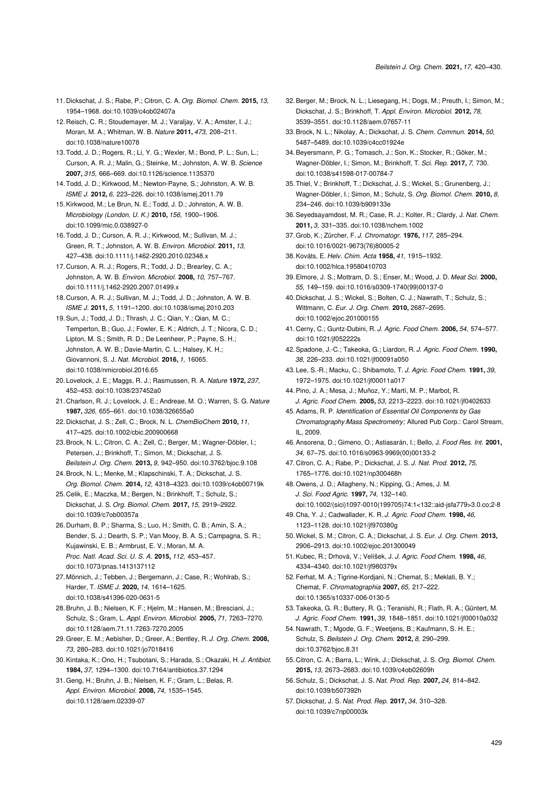- <span id="page-9-0"></span>11. Dickschat, J. S.; Rabe, P.; Citron, C. A. *Org. Biomol. Chem.* **2015,** *13,* 1954–1968. [doi:10.1039/c4ob02407a](https://doi.org/10.1039%2Fc4ob02407a)
- <span id="page-9-1"></span>12. Reisch, C. R.; Stoudemayer, M. J.; Varaljay, V. A.; Amster, I. J.; Moran, M. A.; Whitman, W. B. *Nature* **2011,** *473,* 208–211. [doi:10.1038/nature10078](https://doi.org/10.1038%2Fnature10078)
- <span id="page-9-2"></span>13.Todd, J. D.; Rogers, R.; Li, Y. G.; Wexler, M.; Bond, P. L.; Sun, L.; Curson, A. R. J.; Malin, G.; Steinke, M.; Johnston, A. W. B. *Science* **2007,** *315,* 666–669. [doi:10.1126/science.1135370](https://doi.org/10.1126%2Fscience.1135370)
- <span id="page-9-3"></span>14.Todd, J. D.; Kirkwood, M.; Newton-Payne, S.; Johnston, A. W. B. *ISME J.* **2012,** *6,* 223–226. [doi:10.1038/ismej.2011.79](https://doi.org/10.1038%2Fismej.2011.79)
- <span id="page-9-4"></span>15.Kirkwood, M.; Le Brun, N. E.; Todd, J. D.; Johnston, A. W. B. *Microbiology (London, U. K.)* **2010,** *156,* 1900–1906. [doi:10.1099/mic.0.038927-0](https://doi.org/10.1099%2Fmic.0.038927-0)
- <span id="page-9-5"></span>16.Todd, J. D.; Curson, A. R. J.; Kirkwood, M.; Sullivan, M. J.; Green, R. T.; Johnston, A. W. B. *Environ. Microbiol.* **2011,** *13,* 427–438. [doi:10.1111/j.1462-2920.2010.02348.x](https://doi.org/10.1111%2Fj.1462-2920.2010.02348.x)
- <span id="page-9-6"></span>17. Curson, A. R. J.; Rogers, R.; Todd, J. D.; Brearley, C. A.; Johnston, A. W. B. *Environ. Microbiol.* **2008,** *10,* 757–767. [doi:10.1111/j.1462-2920.2007.01499.x](https://doi.org/10.1111%2Fj.1462-2920.2007.01499.x)
- <span id="page-9-7"></span>18. Curson, A. R. J.; Sullivan, M. J.; Todd, J. D.; Johnston, A. W. B. *ISME J.* **2011,** *5,* 1191–1200. [doi:10.1038/ismej.2010.203](https://doi.org/10.1038%2Fismej.2010.203)
- <span id="page-9-8"></span>19.Sun, J.; Todd, J. D.; Thrash, J. C.; Qian, Y.; Qian, M. C.; Temperton, B.; Guo, J.; Fowler, E. K.; Aldrich, J. T.; Nicora, C. D.; Lipton, M. S.; Smith, R. D.; De Leenheer, P.; Payne, S. H.; Johnston, A. W. B.; Davie-Martin, C. L.; Halsey, K. H.; Giovannoni, S. J. *Nat. Microbiol.* **2016,** *1,* 16065. [doi:10.1038/nmicrobiol.2016.65](https://doi.org/10.1038%2Fnmicrobiol.2016.65)
- <span id="page-9-9"></span>20. Lovelock, J. E.; Maggs, R. J.; Rasmussen, R. A. *Nature* **1972,** *237,* 452–453. [doi:10.1038/237452a0](https://doi.org/10.1038%2F237452a0)
- <span id="page-9-10"></span>21. Charlson, R. J.; Lovelock, J. E.; Andreae, M. O.; Warren, S. G. *Nature* **1987,** *326,* 655–661. [doi:10.1038/326655a0](https://doi.org/10.1038%2F326655a0)
- <span id="page-9-11"></span>22. Dickschat, J. S.; Zell, C.; Brock, N. L. *ChemBioChem* **2010,** *11,* 417–425. [doi:10.1002/cbic.200900668](https://doi.org/10.1002%2Fcbic.200900668)
- 23.Brock, N. L.; Citron, C. A.; Zell, C.; Berger, M.; Wagner-Döbler, I.; Petersen, J.; Brinkhoff, T.; Simon, M.; Dickschat, J. S. *Beilstein J. Org. Chem.* **2013,** *9,* 942–950. [doi:10.3762/bjoc.9.108](https://doi.org/10.3762%2Fbjoc.9.108)
- <span id="page-9-12"></span>24.Brock, N. L.; Menke, M.; Klapschinski, T. A.; Dickschat, J. S.
- *Org. Biomol. Chem.* **2014,** *12,* 4318–4323. [doi:10.1039/c4ob00719k](https://doi.org/10.1039%2Fc4ob00719k) 25. Celik, E.; Maczka, M.; Bergen, N.; Brinkhoff, T.; Schulz, S.; Dickschat, J. S. *Org. Biomol. Chem.* **2017,** *15,* 2919–2922.
- <span id="page-9-13"></span>[doi:10.1039/c7ob00357a](https://doi.org/10.1039%2Fc7ob00357a) 26. Durham, B. P.; Sharma, S.; Luo, H.; Smith, C. B.; Amin, S. A.; Bender, S. J.; Dearth, S. P.; Van Mooy, B. A. S.; Campagna, S. R.; Kujawinski, E. B.; Armbrust, E. V.; Moran, M. A. *Proc. Natl. Acad. Sci. U. S. A.* **2015,** *112,* 453–457. [doi:10.1073/pnas.1413137112](https://doi.org/10.1073%2Fpnas.1413137112)

<span id="page-9-14"></span>27. Mönnich, J.; Tebben, J.; Bergemann, J.; Case, R.; Wohlrab, S.; Harder, T. *ISME J.* **2020,** *14,* 1614–1625. [doi:10.1038/s41396-020-0631-5](https://doi.org/10.1038%2Fs41396-020-0631-5)

- <span id="page-9-15"></span>28.Bruhn, J. B.; Nielsen, K. F.; Hjelm, M.; Hansen, M.; Bresciani, J.; Schulz, S.; Gram, L. *Appl. Environ. Microbiol.* **2005,** *71,* 7263–7270. [doi:10.1128/aem.71.11.7263-7270.2005](https://doi.org/10.1128%2Faem.71.11.7263-7270.2005)
- <span id="page-9-16"></span>29.Greer, E. M.; Aebisher, D.; Greer, A.; Bentley, R. *J. Org. Chem.* **2008,** *73,* 280–283. [doi:10.1021/jo7018416](https://doi.org/10.1021%2Fjo7018416)
- <span id="page-9-17"></span>30.Kintaka, K.; Ono, H.; Tsubotani, S.; Harada, S.; Okazaki, H. *J. Antibiot.* **1984,** *37,* 1294–1300. [doi:10.7164/antibiotics.37.1294](https://doi.org/10.7164%2Fantibiotics.37.1294)
- <span id="page-9-18"></span>31.Geng, H.; Bruhn, J. B.; Nielsen, K. F.; Gram, L.; Belas, R. *Appl. Environ. Microbiol.* **2008,** *74,* 1535–1545. [doi:10.1128/aem.02339-07](https://doi.org/10.1128%2Faem.02339-07)
- <span id="page-9-19"></span>32.Berger, M.; Brock, N. L.; Liesegang, H.; Dogs, M.; Preuth, I.; Simon, M.; Dickschat, J. S.; Brinkhoff, T. *Appl. Environ. Microbiol.* **2012,** *78,* 3539–3551. [doi:10.1128/aem.07657-11](https://doi.org/10.1128%2Faem.07657-11)
- 33.Brock, N. L.; Nikolay, A.; Dickschat, J. S. *Chem. Commun.* **2014,** *50,* 5487–5489. [doi:10.1039/c4cc01924e](https://doi.org/10.1039%2Fc4cc01924e)
- <span id="page-9-20"></span>34.Beyersmann, P. G.; Tomasch, J.; Son, K.; Stocker, R.; Göker, M.; Wagner-Döbler, I.; Simon, M.; Brinkhoff, T. *Sci. Rep.* **2017,** *7,* 730. [doi:10.1038/s41598-017-00784-7](https://doi.org/10.1038%2Fs41598-017-00784-7)
- <span id="page-9-21"></span>35.Thiel, V.; Brinkhoff, T.; Dickschat, J. S.; Wickel, S.; Grunenberg, J.; Wagner-Döbler, I.; Simon, M.; Schulz, S. *Org. Biomol. Chem.* **2010,** *8,* 234–246. [doi:10.1039/b909133e](https://doi.org/10.1039%2Fb909133e)
- <span id="page-9-22"></span>36.Seyedsayamdost, M. R.; Case, R. J.; Kolter, R.; Clardy, J. *Nat. Chem.* **2011,** *3,* 331–335. [doi:10.1038/nchem.1002](https://doi.org/10.1038%2Fnchem.1002)
- <span id="page-9-23"></span>37.Grob, K.; Zürcher, F. *J. Chromatogr.* **1976,** *117,* 285–294. [doi:10.1016/0021-9673\(76\)80005-2](https://doi.org/10.1016%2F0021-9673%2876%2980005-2)
- <span id="page-9-24"></span>38.Kováts, E. *Helv. Chim. Acta* **1958,** *41,* 1915–1932. [doi:10.1002/hlca.19580410703](https://doi.org/10.1002%2Fhlca.19580410703)
- <span id="page-9-28"></span>39.Elmore, J. S.; Mottram, D. S.; Enser, M.; Wood, J. D. *Meat Sci.* **2000,** *55,* 149–159. [doi:10.1016/s0309-1740\(99\)00137-0](https://doi.org/10.1016%2Fs0309-1740%2899%2900137-0)
- <span id="page-9-26"></span>40. Dickschat, J. S.; Wickel, S.; Bolten, C. J.; Nawrath, T.; Schulz, S.; Wittmann, C. *Eur. J. Org. Chem.* **2010,** 2687–2695. [doi:10.1002/ejoc.201000155](https://doi.org/10.1002%2Fejoc.201000155)
- <span id="page-9-29"></span>41. Cerny, C.; Guntz-Dubini, R. *J. Agric. Food Chem.* **2006,** *54,* 574–577. [doi:10.1021/jf052222s](https://doi.org/10.1021%2Fjf052222s)
- <span id="page-9-30"></span>42.Spadone, J.-C.; Takeoka, G.; Liardon, R. *J. Agric. Food Chem.* **1990,** *38,* 226–233. [doi:10.1021/jf00091a050](https://doi.org/10.1021%2Fjf00091a050)
- <span id="page-9-31"></span>43. Lee, S.-R.; Macku, C.; Shibamoto, T. *J. Agric. Food Chem.* **1991,** *39,* 1972–1975. [doi:10.1021/jf00011a017](https://doi.org/10.1021%2Fjf00011a017)
- <span id="page-9-32"></span>44.Pino, J. A.; Mesa, J.; Muñoz, Y.; Martí, M. P.; Marbot, R. *J. Agric. Food Chem.* **2005,** *53,* 2213–2223. [doi:10.1021/jf0402633](https://doi.org/10.1021%2Fjf0402633)
- <span id="page-9-33"></span>45.Adams, R. P. *Identification of Essential Oil Components by Gas Chromatography/Mass Spectrometry;* Allured Pub Corp.: Carol Stream, IL, 2009.
- <span id="page-9-34"></span>46.Ansorena, D.; Gimeno, O.; Astiasarán, I.; Bello, J. *Food Res. Int.* **2001,** *34,* 67–75. [doi:10.1016/s0963-9969\(00\)00133-2](https://doi.org/10.1016%2Fs0963-9969%2800%2900133-2)
- <span id="page-9-35"></span>47. Citron, C. A.; Rabe, P.; Dickschat, J. S. *J. Nat. Prod.* **2012,** *75,* 1765–1776. [doi:10.1021/np300468h](https://doi.org/10.1021%2Fnp300468h)
- <span id="page-9-36"></span>48.Owens, J. D.; Allagheny, N.; Kipping, G.; Ames, J. M. *J. Sci. Food Agric.* **1997,** *74,* 132–140. [doi:10.1002/\(sici\)1097-0010\(199705\)74:1<132::aid-jsfa779>3.0.co;2-8](https://doi.org/10.1002%2F%28sici%291097-0010%28199705%2974%3A1%3C132%3A%3Aaid-jsfa779%3E3.0.co%3B2-8)
- <span id="page-9-37"></span>49. Cha, Y. J.; Cadwallader, K. R. *J. Agric. Food Chem.* **1998,** *46,* 1123–1128. [doi:10.1021/jf970380g](https://doi.org/10.1021%2Fjf970380g)
- <span id="page-9-38"></span>50.Wickel, S. M.; Citron, C. A.; Dickschat, J. S. *Eur. J. Org. Chem.* **2013,** 2906–2913. [doi:10.1002/ejoc.201300049](https://doi.org/10.1002%2Fejoc.201300049)
- <span id="page-9-39"></span>51.Kubec, R.; Drhová, V.; Velíšek, J. *J. Agric. Food Chem.* **1998,** *46,* 4334–4340. [doi:10.1021/jf980379x](https://doi.org/10.1021%2Fjf980379x)
- <span id="page-9-40"></span>52.Ferhat, M. A.; Tigrine-Kordjani, N.; Chemat, S.; Meklati, B. Y.; Chemat, F. *Chromatographia* **2007,** *65,* 217–222. [doi:10.1365/s10337-006-0130-5](https://doi.org/10.1365%2Fs10337-006-0130-5)
- <span id="page-9-27"></span>53.Takeoka, G. R.; Buttery, R. G.; Teranishi, R.; Flath, R. A.; Güntert, M. *J. Agric. Food Chem.* **1991,** *39,* 1848–1851. [doi:10.1021/jf00010a032](https://doi.org/10.1021%2Fjf00010a032)
- <span id="page-9-41"></span>54. Nawrath, T.; Mgode, G. F.; Weetjens, B.; Kaufmann, S. H. E.; Schulz, S. *Beilstein J. Org. Chem.* **2012,** *8,* 290–299. [doi:10.3762/bjoc.8.31](https://doi.org/10.3762%2Fbjoc.8.31)
- <span id="page-9-42"></span>55. Citron, C. A.; Barra, L.; Wink, J.; Dickschat, J. S. *Org. Biomol. Chem.* **2015,** *13,* 2673–2683. [doi:10.1039/c4ob02609h](https://doi.org/10.1039%2Fc4ob02609h)
- <span id="page-9-25"></span>56.Schulz, S.; Dickschat, J. S. *Nat. Prod. Rep.* **2007,** *24,* 814–842. [doi:10.1039/b507392h](https://doi.org/10.1039%2Fb507392h)
- 57. Dickschat, J. S. *Nat. Prod. Rep.* **2017,** *34,* 310–328. [doi:10.1039/c7np00003k](https://doi.org/10.1039%2Fc7np00003k)